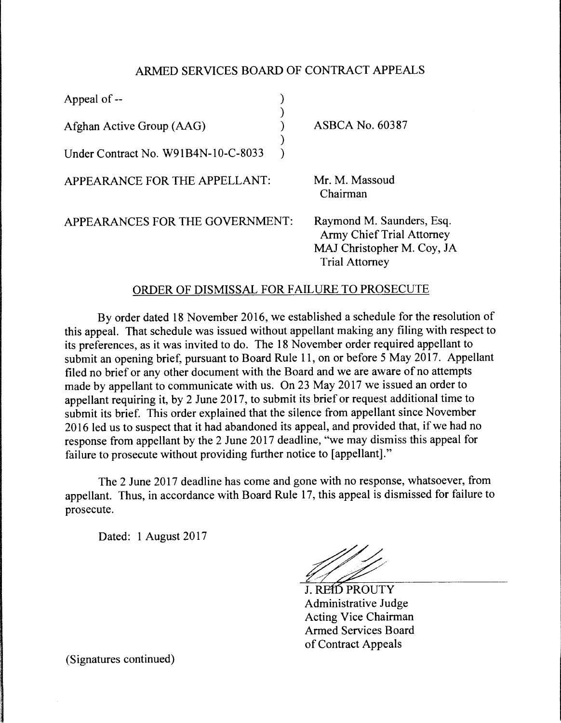## ARMED SERVICES BOARD OF CONTRACT APPEALS

| Appeal of --                        |                                                                                                                      |
|-------------------------------------|----------------------------------------------------------------------------------------------------------------------|
| Afghan Active Group (AAG)           | <b>ASBCA No. 60387</b>                                                                                               |
| Under Contract No. W91B4N-10-C-8033 |                                                                                                                      |
| APPEARANCE FOR THE APPELLANT:       | Mr. M. Massoud<br>Chairman                                                                                           |
| APPEARANCES FOR THE GOVERNMENT:     | Raymond M. Saunders, Esq.<br><b>Army Chief Trial Attorney</b><br>MAJ Christopher M. Coy, JA<br><b>Trial Attorney</b> |

## ORDER OF DISMISSAL FOR FAIL URE TO PROSECUTE

By order dated 18 November 2016, we established a schedule for the resolution of this appeal. That schedule was issued without appellant making any filing with respect to its preferences, as it was invited to do. The 18 November order required appellant to submit an opening brief, pursuant to Board Rule 11, on or before 5 May 2017. Appellant filed no brief or any other document with the Board and we are aware of no attempts made by appellant to communicate with us. On 23 May 2017 we issued an order to appellant requiring it, by 2 June 2017, to submit its brief or request additional time to submit its brief. This order explained that the silence from appellant since November 2016 led us to suspect that it had abandoned its appeal, and provided that, if we had no response from appellant by the 2 June 2017 deadline, "we may dismiss this appeal for failure to prosecute without providing further notice to [appellant]."

The 2 June 2017 deadline has come and gone with no response, whatsoever, from appellant. Thus, in accordance with Board Rule 17, this appeal is dismissed for failure to prosecute.

Dated: I August 2017

J. REID PROUTY Administrative Judge Acting Vice Chairman Armed Services Board of Contract Appeals

(Signatures continued)